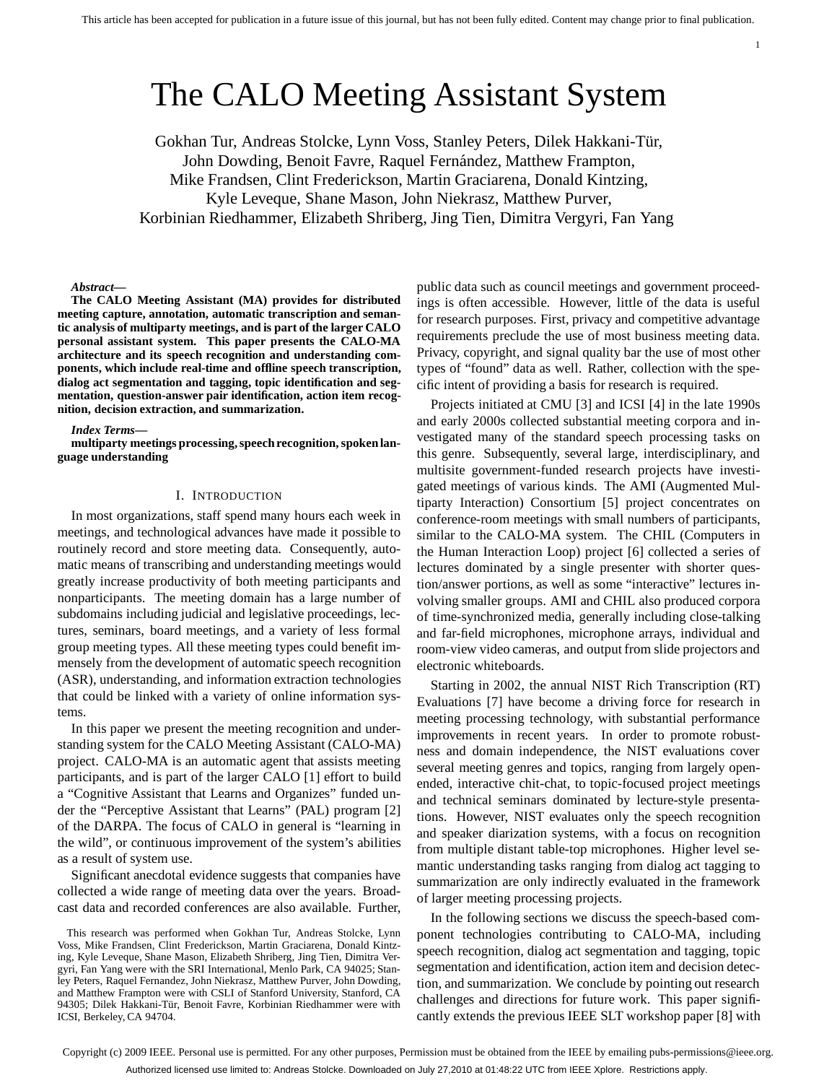1

# The CALO Meeting Assistant System

Gokhan Tur, Andreas Stolcke, Lynn Voss, Stanley Peters, Dilek Hakkani-Tür, John Dowding, Benoit Favre, Raquel Fernández, Matthew Frampton, Mike Frandsen, Clint Frederickson, Martin Graciarena, Donald Kintzing, Kyle Leveque, Shane Mason, John Niekrasz, Matthew Purver, Korbinian Riedhammer, Elizabeth Shriberg, Jing Tien, Dimitra Vergyri, Fan Yang

#### *Abstract***—**

**The CALO Meeting Assistant (MA) provides for distributed meeting capture, annotation, automatic transcription and semantic analysis of multiparty meetings, and is part of the larger CALO personal assistant system. This paper presents the CALO-MA architecture and its speech recognition and understanding components, which include real-time and offline speech transcription, dialog act segmentation and tagging, topic identification and segmentation, question-answer pair identification, action item recognition, decision extraction, and summarization.**

#### *Index Terms***—**

**multiparty meetings processing, speech recognition, spoken language understanding**

#### I. INTRODUCTION

In most organizations, staff spend many hours each week in meetings, and technological advances have made it possible to routinely record and store meeting data. Consequently, automatic means of transcribing and understanding meetings would greatly increase productivity of both meeting participants and nonparticipants. The meeting domain has a large number of subdomains including judicial and legislative proceedings, lectures, seminars, board meetings, and a variety of less formal group meeting types. All these meeting types could benefit immensely from the development of automatic speech recognition (ASR), understanding, and information extraction technologies that could be linked with a variety of online information systems.

In this paper we present the meeting recognition and understanding system for the CALO Meeting Assistant (CALO-MA) project. CALO-MA is an automatic agent that assists meeting participants, and is part of the larger CALO [1] effort to build a "Cognitive Assistant that Learns and Organizes" funded under the "Perceptive Assistant that Learns" (PAL) program [2] of the DARPA. The focus of CALO in general is "learning in the wild", or continuous improvement of the system's abilities as a result of system use.

Significant anecdotal evidence suggests that companies have collected a wide range of meeting data over the years. Broadcast data and recorded conferences are also available. Further, public data such as council meetings and government proceedings is often accessible. However, little of the data is useful for research purposes. First, privacy and competitive advantage requirements preclude the use of most business meeting data. Privacy, copyright, and signal quality bar the use of most other types of "found" data as well. Rather, collection with the specific intent of providing a basis for research is required.

Projects initiated at CMU [3] and ICSI [4] in the late 1990s and early 2000s collected substantial meeting corpora and investigated many of the standard speech processing tasks on this genre. Subsequently, several large, interdisciplinary, and multisite government-funded research projects have investigated meetings of various kinds. The AMI (Augmented Multiparty Interaction) Consortium [5] project concentrates on conference-room meetings with small numbers of participants, similar to the CALO-MA system. The CHIL (Computers in the Human Interaction Loop) project [6] collected a series of lectures dominated by a single presenter with shorter question/answer portions, as well as some "interactive" lectures involving smaller groups. AMI and CHIL also produced corpora of time-synchronized media, generally including close-talking and far-field microphones, microphone arrays, individual and room-view video cameras, and output from slide projectors and electronic whiteboards.

Starting in 2002, the annual NIST Rich Transcription (RT) Evaluations [7] have become a driving force for research in meeting processing technology, with substantial performance improvements in recent years. In order to promote robustness and domain independence, the NIST evaluations cover several meeting genres and topics, ranging from largely openended, interactive chit-chat, to topic-focused project meetings and technical seminars dominated by lecture-style presentations. However, NIST evaluates only the speech recognition and speaker diarization systems, with a focus on recognition from multiple distant table-top microphones. Higher level semantic understanding tasks ranging from dialog act tagging to summarization are only indirectly evaluated in the framework of larger meeting processing projects.

In the following sections we discuss the speech-based component technologies contributing to CALO-MA, including speech recognition, dialog act segmentation and tagging, topic segmentation and identification, action item and decision detection, and summarization. We conclude by pointing out research challenges and directions for future work. This paper significantly extends the previous IEEE SLT workshop paper [8] with

Copyright (c) 2009 IEEE. Personal use is permitted. For any other purposes, Permission must be obtained from the IEEE by emailing pubs-permissions@ieee.org.

Authorized licensed use limited to: Andreas Stolcke. Downloaded on July 27,2010 at 01:48:22 UTC from IEEE Xplore. Restrictions apply.

This research was performed when Gokhan Tur, Andreas Stolcke, Lynn Voss, Mike Frandsen, Clint Frederickson, Martin Graciarena, Donald Kintzing, Kyle Leveque, Shane Mason, Elizabeth Shriberg, Jing Tien, Dimitra Vergyri, Fan Yang were with the SRI International, Menlo Park, CA 94025; Stanley Peters, Raquel Fernandez, John Niekrasz, Matthew Purver, John Dowding, and Matthew Frampton were with CSLI of Stanford University, Stanford, CA 94305; Dilek Hakkani-Tür, Benoit Favre, Korbinian Riedhammer were with ICSI, Berkeley, CA 94704.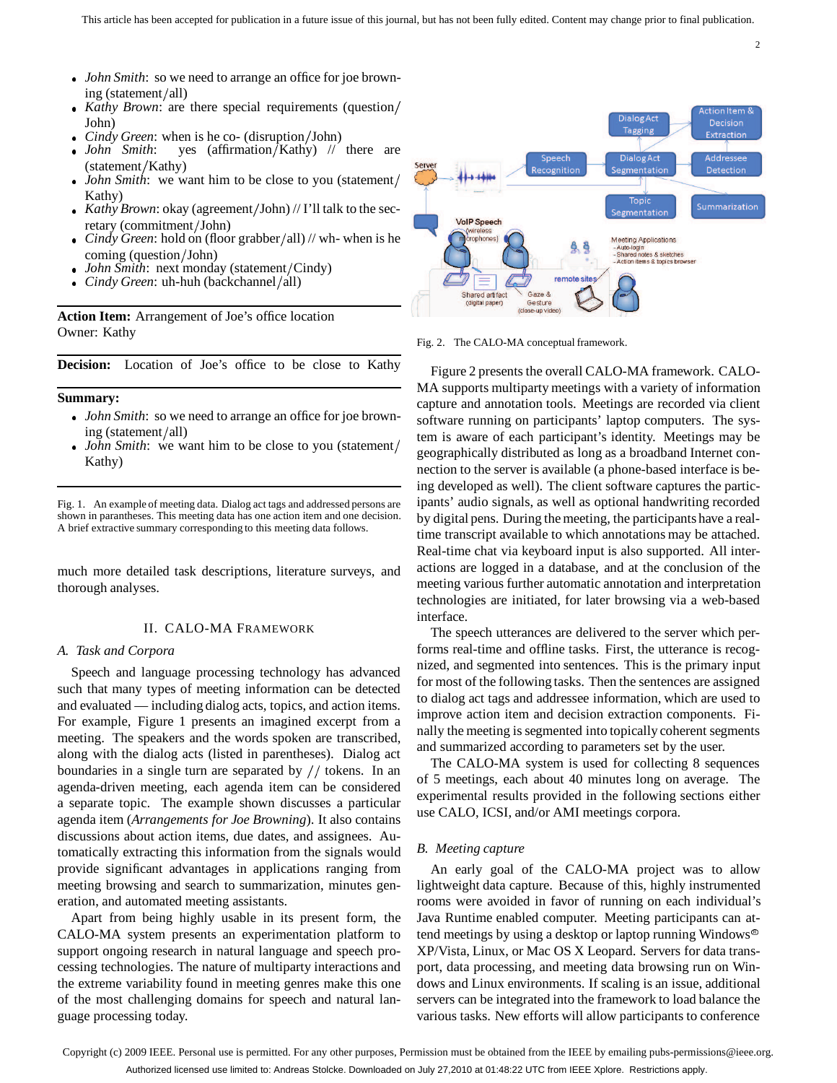- *John Smith*: so we need to arrange an office for joe browning (statement/all)
- *Kathy Brown*: are there special requirements (question/ John)
- *Cindy Green*: when is he co- (disruption/John)
- *John Smith*: yes (affirmation/Kathy) // there are (statement/Kathy)
- *John Smith*: we want him to be close to you (statement/ Kathy)
- *Kathy Brown*: okay (agreement/John) // I'll talk to the secretary (commitment/John)
- *Cindy Green*: hold on (floor grabber/all) // wh- when is he coming (question/John)
- *John Smith*: next monday (statement/Cindy)
- *Cindy Green*: uh-huh (backchannel/all)

**Action Item:** Arrangement of Joe's office location Owner: Kathy

**Decision:** Location of Joe's office to be close to Kathy

# **Summary:**

- *John Smith*: so we need to arrange an office for joe brown $ing$  (statement/all)
- *John Smith*: we want him to be close to you (statement) Kathy)

Fig. 1. An example of meeting data. Dialog act tags and addressed persons are shown in parantheses. This meeting data has one action item and one decision. A brief extractive summary corresponding to this meeting data follows.

much more detailed task descriptions, literature surveys, and thorough analyses.

## II. CALO-MA FRAMEWORK

## *A. Task and Corpora*

Speech and language processing technology has advanced such that many types of meeting information can be detected and evaluated — including dialog acts, topics, and action items. For example, Figure 1 presents an imagined excerpt from a meeting. The speakers and the words spoken are transcribed, along with the dialog acts (listed in parentheses). Dialog act boundaries in a single turn are separated by  $\frac{1}{\epsilon}$  tokens. In an agenda-driven meeting, each agenda item can be considered a separate topic. The example shown discusses a particular agenda item (*Arrangements for Joe Browning*). It also contains discussions about action items, due dates, and assignees. Automatically extracting this information from the signals would provide significant advantages in applications ranging from meeting browsing and search to summarization, minutes generation, and automated meeting assistants.

Apart from being highly usable in its present form, the CALO-MA system presents an experimentation platform to support ongoing research in natural language and speech processing technologies. The nature of multiparty interactions and the extreme variability found in meeting genres make this one of the most challenging domains for speech and natural language processing today.



2

Fig. 2. The CALO-MA conceptual framework.

Figure 2 presents the overall CALO-MA framework. CALO-MA supports multiparty meetings with a variety of information capture and annotation tools. Meetings are recorded via client software running on participants' laptop computers. The system is aware of each participant's identity. Meetings may be geographically distributed as long as a broadband Internet connection to the server is available (a phone-based interface is being developed as well). The client software captures the participants' audio signals, as well as optional handwriting recorded by digital pens. During the meeting, the participants have a realtime transcript available to which annotations may be attached. Real-time chat via keyboard input is also supported. All interactions are logged in a database, and at the conclusion of the meeting various further automatic annotation and interpretation technologies are initiated, for later browsing via a web-based interface.

The speech utterances are delivered to the server which performs real-time and offline tasks. First, the utterance is recognized, and segmented into sentences. This is the primary input for most of the following tasks. Then the sentences are assigned to dialog act tags and addressee information, which are used to improve action item and decision extraction components. Finally the meeting is segmented into topically coherent segments and summarized according to parameters set by the user.

The CALO-MA system is used for collecting 8 sequences of 5 meetings, each about 40 minutes long on average. The experimental results provided in the following sections either use CALO, ICSI, and/or AMI meetings corpora.

## *B. Meeting capture*

An early goal of the CALO-MA project was to allow lightweight data capture. Because of this, highly instrumented rooms were avoided in favor of running on each individual's Java Runtime enabled computer. Meeting participants can attend meetings by using a desktop or laptop running Windows® XP/Vista, Linux, or Mac OS X Leopard. Servers for data transport, data processing, and meeting data browsing run on Windows and Linux environments. If scaling is an issue, additional servers can be integrated into the framework to load balance the various tasks. New efforts will allow participants to conference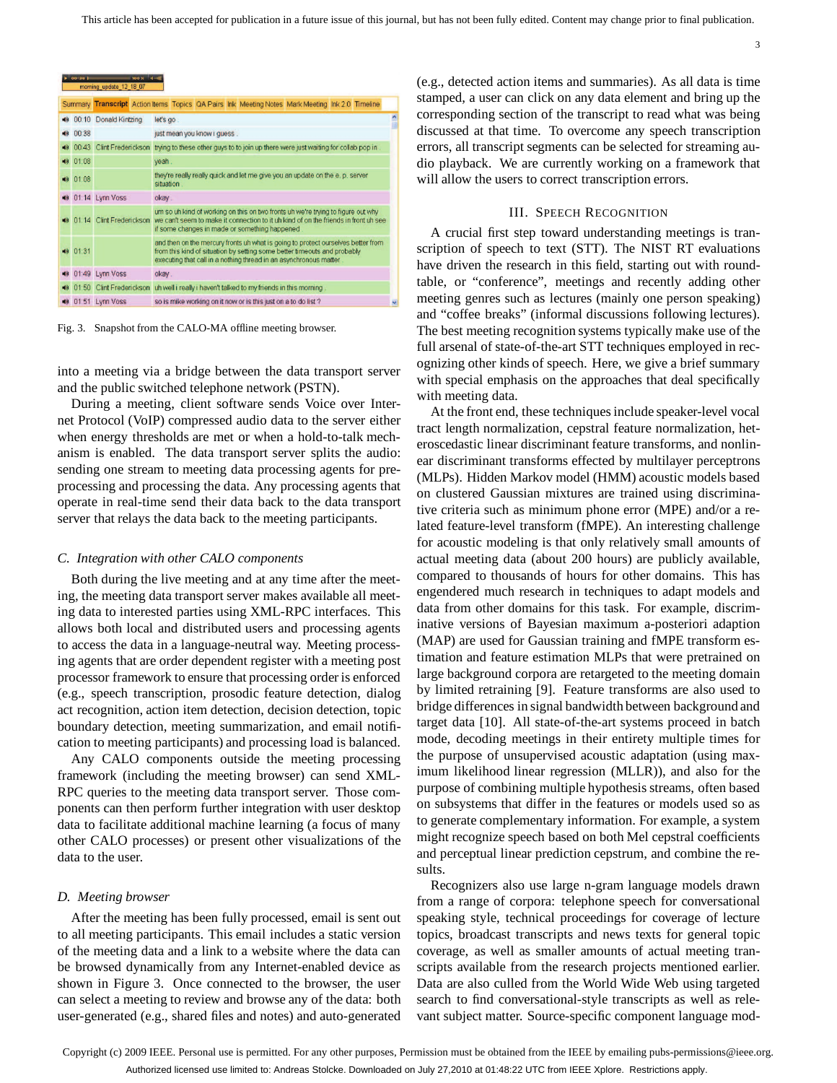|  |          | morning update 12 18 07                                                                         |  |                                                                                                              |  |                             |  |                                               |  |                                                                                                                                                                                                                                    |  |  |  |
|--|----------|-------------------------------------------------------------------------------------------------|--|--------------------------------------------------------------------------------------------------------------|--|-----------------------------|--|-----------------------------------------------|--|------------------------------------------------------------------------------------------------------------------------------------------------------------------------------------------------------------------------------------|--|--|--|
|  |          | Summary Transcript Action Items Topics QA Pairs Ink Meeting Notes Mark Meeting Ink 2.0 Timeline |  |                                                                                                              |  |                             |  |                                               |  |                                                                                                                                                                                                                                    |  |  |  |
|  |          | 48 00:10 Donald Kintzing                                                                        |  | let's go                                                                                                     |  |                             |  |                                               |  |                                                                                                                                                                                                                                    |  |  |  |
|  | ● 00:38  |                                                                                                 |  |                                                                                                              |  | just mean you know i guess. |  |                                               |  |                                                                                                                                                                                                                                    |  |  |  |
|  |          |                                                                                                 |  | 00:43 Clint Frederickson trying to these other guys to to join up there were just waiting for collab pop in. |  |                             |  |                                               |  |                                                                                                                                                                                                                                    |  |  |  |
|  | 49 01:08 |                                                                                                 |  | yeah.                                                                                                        |  |                             |  |                                               |  |                                                                                                                                                                                                                                    |  |  |  |
|  | ● 01:08  |                                                                                                 |  | situation                                                                                                    |  |                             |  |                                               |  | they're really really quick and let me give you an update on the e. p. server                                                                                                                                                      |  |  |  |
|  |          | 49 01:14 Lynn Voss                                                                              |  | okay.                                                                                                        |  |                             |  |                                               |  |                                                                                                                                                                                                                                    |  |  |  |
|  |          |                                                                                                 |  |                                                                                                              |  |                             |  | if some changes in made or something happened |  | um so uh kind of working on this on two fronts uh we're trying to figure out why<br>01:14 Clint Frederickson we can't seem to make it connection to it uh kind of on the friends in front uh see                                   |  |  |  |
|  | 49 01:31 |                                                                                                 |  |                                                                                                              |  |                             |  |                                               |  | and then on the mercury fronts uh what is going to protect ourselves better from<br>from this kind of situation by setting some better timeouts and probably<br>executing that call in a nothing thread in an asynchronous matter. |  |  |  |
|  |          | 01:49 Lynn Voss                                                                                 |  | okay.                                                                                                        |  |                             |  |                                               |  |                                                                                                                                                                                                                                    |  |  |  |
|  |          |                                                                                                 |  |                                                                                                              |  |                             |  |                                               |  | 01:50 Clint Frederickson uh well i really i haven't talked to my friends in this morning                                                                                                                                           |  |  |  |
|  |          | 49 01:51 Lynn Voss                                                                              |  |                                                                                                              |  |                             |  |                                               |  | so is mike working on it now or is this just on a to do list?                                                                                                                                                                      |  |  |  |

Fig. 3. Snapshot from the CALO-MA offline meeting browser.

into a meeting via a bridge between the data transport server and the public switched telephone network (PSTN).

During a meeting, client software sends Voice over Internet Protocol (VoIP) compressed audio data to the server either when energy thresholds are met or when a hold-to-talk mechanism is enabled. The data transport server splits the audio: sending one stream to meeting data processing agents for preprocessing and processing the data. Any processing agents that operate in real-time send their data back to the data transport server that relays the data back to the meeting participants.

## *C. Integration with other CALO components*

Both during the live meeting and at any time after the meeting, the meeting data transport server makes available all meeting data to interested parties using XML-RPC interfaces. This allows both local and distributed users and processing agents to access the data in a language-neutral way. Meeting processing agents that are order dependent register with a meeting post processor framework to ensure that processing order is enforced (e.g., speech transcription, prosodic feature detection, dialog act recognition, action item detection, decision detection, topic boundary detection, meeting summarization, and email notification to meeting participants) and processing load is balanced.

Any CALO components outside the meeting processing framework (including the meeting browser) can send XML-RPC queries to the meeting data transport server. Those components can then perform further integration with user desktop data to facilitate additional machine learning (a focus of many other CALO processes) or present other visualizations of the data to the user.

## *D. Meeting browser*

After the meeting has been fully processed, email is sent out to all meeting participants. This email includes a static version of the meeting data and a link to a website where the data can be browsed dynamically from any Internet-enabled device as shown in Figure 3. Once connected to the browser, the user can select a meeting to review and browse any of the data: both user-generated (e.g., shared files and notes) and auto-generated

(e.g., detected action items and summaries). As all data is time stamped, a user can click on any data element and bring up the corresponding section of the transcript to read what was being discussed at that time. To overcome any speech transcription errors, all transcript segments can be selected for streaming audio playback. We are currently working on a framework that will allow the users to correct transcription errors.

# III. SPEECH RECOGNITION

A crucial first step toward understanding meetings is transcription of speech to text (STT). The NIST RT evaluations have driven the research in this field, starting out with roundtable, or "conference", meetings and recently adding other meeting genres such as lectures (mainly one person speaking) and "coffee breaks" (informal discussions following lectures). The best meeting recognition systems typically make use of the full arsenal of state-of-the-art STT techniques employed in recognizing other kinds of speech. Here, we give a brief summary with special emphasis on the approaches that deal specifically with meeting data.

At the front end, these techniques include speaker-level vocal tract length normalization, cepstral feature normalization, heteroscedastic linear discriminant feature transforms, and nonlinear discriminant transforms effected by multilayer perceptrons (MLPs). Hidden Markov model (HMM) acoustic models based on clustered Gaussian mixtures are trained using discriminative criteria such as minimum phone error (MPE) and/or a related feature-level transform (fMPE). An interesting challenge for acoustic modeling is that only relatively small amounts of actual meeting data (about 200 hours) are publicly available, compared to thousands of hours for other domains. This has engendered much research in techniques to adapt models and data from other domains for this task. For example, discriminative versions of Bayesian maximum a-posteriori adaption (MAP) are used for Gaussian training and fMPE transform estimation and feature estimation MLPs that were pretrained on large background corpora are retargeted to the meeting domain by limited retraining [9]. Feature transforms are also used to bridge differences in signal bandwidth between background and target data [10]. All state-of-the-art systems proceed in batch mode, decoding meetings in their entirety multiple times for the purpose of unsupervised acoustic adaptation (using maximum likelihood linear regression (MLLR)), and also for the purpose of combining multiple hypothesis streams, often based on subsystems that differ in the features or models used so as to generate complementary information. For example, a system might recognize speech based on both Mel cepstral coefficients and perceptual linear prediction cepstrum, and combine the results.

Recognizers also use large n-gram language models drawn from a range of corpora: telephone speech for conversational speaking style, technical proceedings for coverage of lecture topics, broadcast transcripts and news texts for general topic coverage, as well as smaller amounts of actual meeting transcripts available from the research projects mentioned earlier. Data are also culled from the World Wide Web using targeted search to find conversational-style transcripts as well as relevant subject matter. Source-specific component language mod-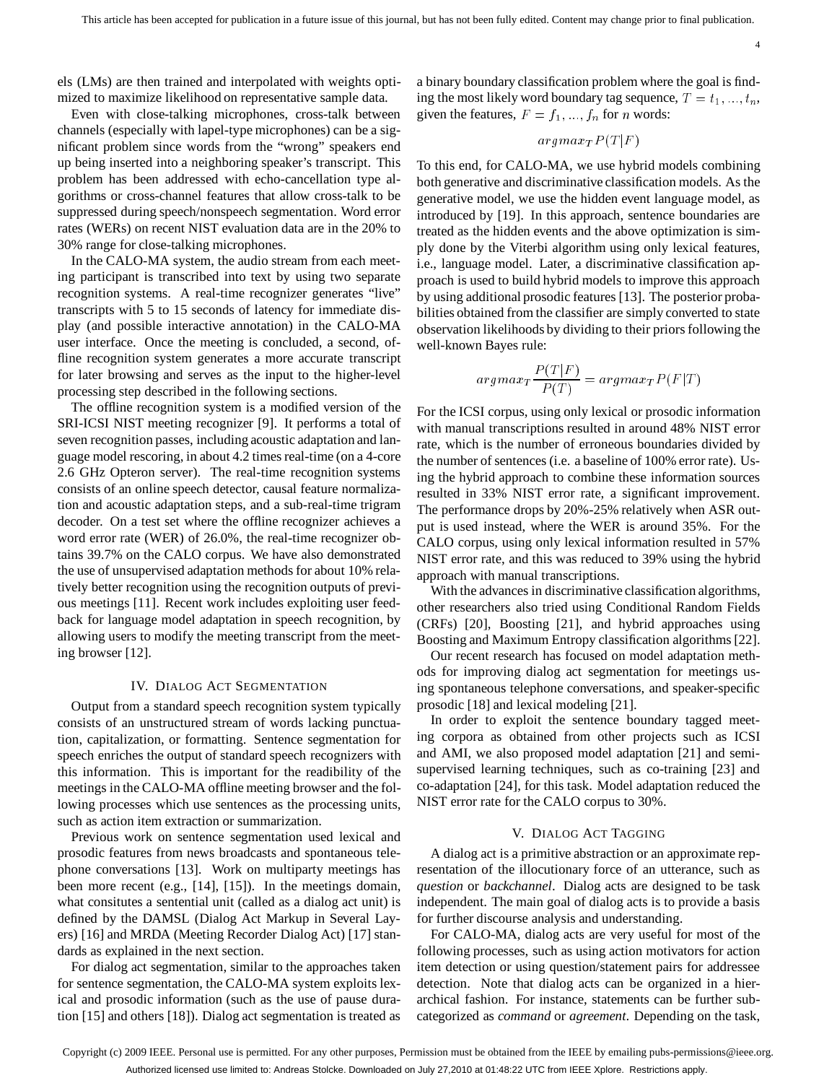4

els (LMs) are then trained and interpolated with weights optimized to maximize likelihood on representative sample data.

Even with close-talking microphones, cross-talk between channels (especially with lapel-type microphones) can be a significant problem since words from the "wrong" speakers end up being inserted into a neighboring speaker's transcript. This problem has been addressed with echo-cancellation type algorithms or cross-channel features that allow cross-talk to be suppressed during speech/nonspeech segmentation. Word error rates (WERs) on recent NIST evaluation data are in the 20% to 30% range for close-talking microphones.

In the CALO-MA system, the audio stream from each meeting participant is transcribed into text by using two separate recognition systems. A real-time recognizer generates "live" transcripts with 5 to 15 seconds of latency for immediate display (and possible interactive annotation) in the CALO-MA user interface. Once the meeting is concluded, a second, offline recognition system generates a more accurate transcript for later browsing and serves as the input to the higher-level processing step described in the following sections.

The offline recognition system is a modified version of the SRI-ICSI NIST meeting recognizer [9]. It performs a total of seven recognition passes, including acoustic adaptation and language model rescoring, in about 4.2 times real-time (on a 4-core 2.6 GHz Opteron server). The real-time recognition systems consists of an online speech detector, causal feature normalization and acoustic adaptation steps, and a sub-real-time trigram decoder. On a test set where the offline recognizer achieves a word error rate (WER) of 26.0%, the real-time recognizer obtains 39.7% on the CALO corpus. We have also demonstrated the use of unsupervised adaptation methods for about 10% relatively better recognition using the recognition outputs of previous meetings [11]. Recent work includes exploiting user feedback for language model adaptation in speech recognition, by allowing users to modify the meeting transcript from the meeting browser [12].

## IV. DIALOG ACT SEGMENTATION

Output from a standard speech recognition system typically consists of an unstructured stream of words lacking punctuation, capitalization, or formatting. Sentence segmentation for speech enriches the output of standard speech recognizers with this information. This is important for the readibility of the meetings in the CALO-MA offline meeting browser and the following processes which use sentences as the processing units, such as action item extraction or summarization.

Previous work on sentence segmentation used lexical and prosodic features from news broadcasts and spontaneous telephone conversations [13]. Work on multiparty meetings has been more recent (e.g., [14], [15]). In the meetings domain, what consitutes a sentential unit (called as a dialog act unit) is defined by the DAMSL (Dialog Act Markup in Several Layers) [16] and MRDA (Meeting Recorder Dialog Act) [17] standards as explained in the next section.

For dialog act segmentation, similar to the approaches taken for sentence segmentation, the CALO-MA system exploits lexical and prosodic information (such as the use of pause duration [15] and others [18]). Dialog act segmentation is treated as a binary boundary classification problem where the goal is finding the most likely word boundary tag sequence,  $T = t_1, ..., t_n$ , given the features,  $F = f_1, ..., f_n$  for *n* words:

$$
argmax_{T}P(T|F)
$$

To this end, for CALO-MA, we use hybrid models combining both generative and discriminative classification models. As the generative model, we use the hidden event language model, as introduced by [19]. In this approach, sentence boundaries are treated as the hidden events and the above optimization is simply done by the Viterbi algorithm using only lexical features, i.e., language model. Later, a discriminative classification approach is used to build hybrid models to improve this approach by using additional prosodic features [13]. The posterior probabilities obtained from the classifier are simply converted to state observation likelihoods by dividing to their priors following the well-known Bayes rule:

$$
argmax_{T} \frac{P(T|F)}{P(T)} = argmax_{T} P(F|T)
$$

For the ICSI corpus, using only lexical or prosodic information with manual transcriptions resulted in around 48% NIST error rate, which is the number of erroneous boundaries divided by the number of sentences (i.e. a baseline of 100% error rate). Using the hybrid approach to combine these information sources resulted in 33% NIST error rate, a significant improvement. The performance drops by 20%-25% relatively when ASR output is used instead, where the WER is around 35%. For the CALO corpus, using only lexical information resulted in 57% NIST error rate, and this was reduced to 39% using the hybrid approach with manual transcriptions.

With the advances in discriminative classification algorithms, other researchers also tried using Conditional Random Fields (CRFs) [20], Boosting [21], and hybrid approaches using Boosting and Maximum Entropy classification algorithms [22].

Our recent research has focused on model adaptation methods for improving dialog act segmentation for meetings using spontaneous telephone conversations, and speaker-specific prosodic [18] and lexical modeling [21].

In order to exploit the sentence boundary tagged meeting corpora as obtained from other projects such as ICSI and AMI, we also proposed model adaptation [21] and semisupervised learning techniques, such as co-training [23] and co-adaptation [24], for this task. Model adaptation reduced the NIST error rate for the CALO corpus to 30%.

# V. DIALOG ACT TAGGING

A dialog act is a primitive abstraction or an approximate representation of the illocutionary force of an utterance, such as *question* or *backchannel*. Dialog acts are designed to be task independent. The main goal of dialog acts is to provide a basis for further discourse analysis and understanding.

For CALO-MA, dialog acts are very useful for most of the following processes, such as using action motivators for action item detection or using question/statement pairs for addressee detection. Note that dialog acts can be organized in a hierarchical fashion. For instance, statements can be further subcategorized as *command* or *agreement*. Depending on the task,

Copyright (c) 2009 IEEE. Personal use is permitted. For any other purposes, Permission must be obtained from the IEEE by emailing pubs-permissions@ieee.org. Authorized licensed use limited to: Andreas Stolcke. Downloaded on July 27,2010 at 01:48:22 UTC from IEEE Xplore. Restrictions apply.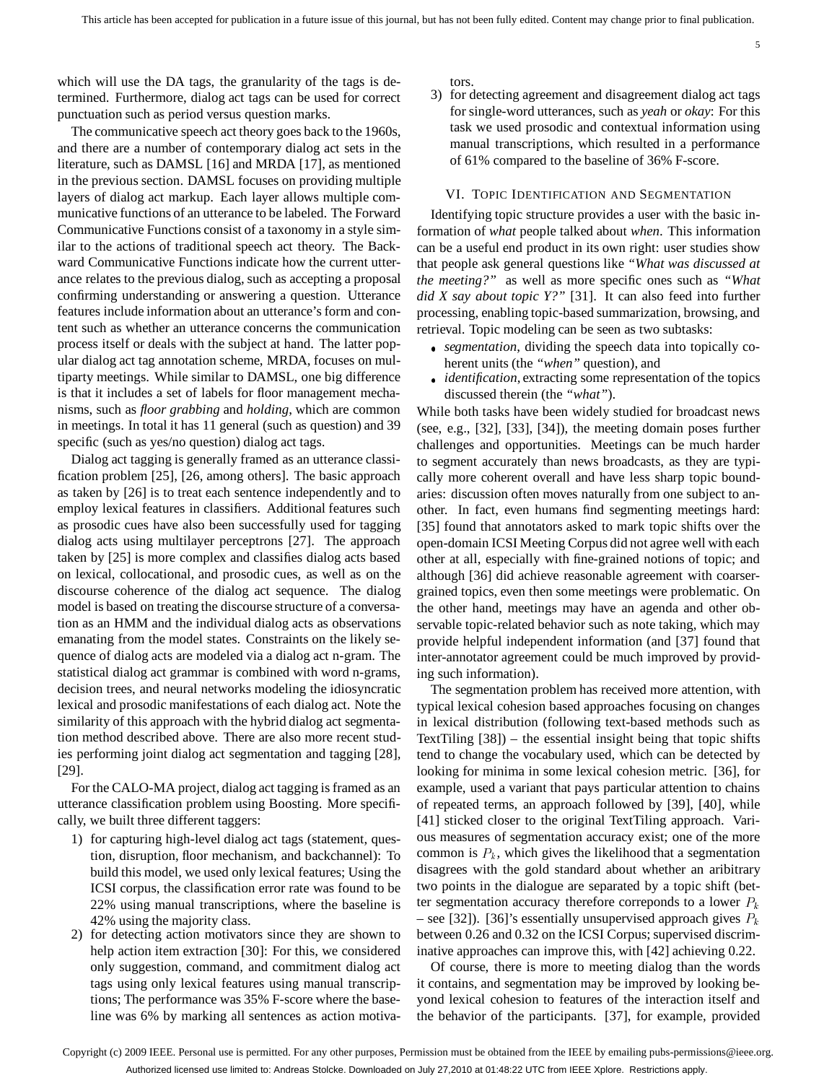which will use the DA tags, the granularity of the tags is determined. Furthermore, dialog act tags can be used for correct punctuation such as period versus question marks.

The communicative speech act theory goes back to the 1960s, and there are a number of contemporary dialog act sets in the literature, such as DAMSL [16] and MRDA [17], as mentioned in the previous section. DAMSL focuses on providing multiple layers of dialog act markup. Each layer allows multiple communicative functions of an utterance to be labeled. The Forward Communicative Functions consist of a taxonomy in a style similar to the actions of traditional speech act theory. The Backward Communicative Functions indicate how the current utterance relates to the previous dialog, such as accepting a proposal confirming understanding or answering a question. Utterance features include information about an utterance's form and content such as whether an utterance concerns the communication process itself or deals with the subject at hand. The latter popular dialog act tag annotation scheme, MRDA, focuses on multiparty meetings. While similar to DAMSL, one big difference is that it includes a set of labels for floor management mechanisms, such as *floor grabbing* and *holding*, which are common in meetings. In total it has 11 general (such as question) and 39 specific (such as yes/no question) dialog act tags.

Dialog act tagging is generally framed as an utterance classification problem [25], [26, among others]. The basic approach as taken by [26] is to treat each sentence independently and to employ lexical features in classifiers. Additional features such as prosodic cues have also been successfully used for tagging dialog acts using multilayer perceptrons [27]. The approach taken by [25] is more complex and classifies dialog acts based on lexical, collocational, and prosodic cues, as well as on the discourse coherence of the dialog act sequence. The dialog model is based on treating the discourse structure of a conversation as an HMM and the individual dialog acts as observations emanating from the model states. Constraints on the likely sequence of dialog acts are modeled via a dialog act n-gram. The statistical dialog act grammar is combined with word n-grams, decision trees, and neural networks modeling the idiosyncratic lexical and prosodic manifestations of each dialog act. Note the similarity of this approach with the hybrid dialog act segmentation method described above. There are also more recent studies performing joint dialog act segmentation and tagging [28], [29].

For the CALO-MA project, dialog act tagging is framed as an utterance classification problem using Boosting. More specifically, we built three different taggers:

- 1) for capturing high-level dialog act tags (statement, question, disruption, floor mechanism, and backchannel): To build this model, we used only lexical features; Using the ICSI corpus, the classification error rate was found to be 22% using manual transcriptions, where the baseline is 42% using the majority class.
- 2) for detecting action motivators since they are shown to help action item extraction [30]: For this, we considered only suggestion, command, and commitment dialog act tags using only lexical features using manual transcriptions; The performance was 35% F-score where the baseline was 6% by marking all sentences as action motiva-

tors.

3) for detecting agreement and disagreement dialog act tags for single-word utterances, such as *yeah* or *okay*: For this task we used prosodic and contextual information using manual transcriptions, which resulted in a performance of 61% compared to the baseline of 36% F-score.

5

# VI. TOPIC IDENTIFICATION AND SEGMENTATION

Identifying topic structure provides a user with the basic information of *what* people talked about *when*. This information can be a useful end product in its own right: user studies show that people ask general questions like *"What was discussed at the meeting?"* as well as more specific ones such as *"What did X say about topic Y?"* [31]. It can also feed into further processing, enabling topic-based summarization, browsing, and retrieval. Topic modeling can be seen as two subtasks:

- *segmentation*, dividing the speech data into topically coherent units (the *"when"* question), and
- *identification*, extracting some representation of the topics discussed therein (the *"what"*).

While both tasks have been widely studied for broadcast news (see, e.g., [32], [33], [34]), the meeting domain poses further challenges and opportunities. Meetings can be much harder to segment accurately than news broadcasts, as they are typically more coherent overall and have less sharp topic boundaries: discussion often moves naturally from one subject to another. In fact, even humans find segmenting meetings hard: [35] found that annotators asked to mark topic shifts over the open-domain ICSI Meeting Corpus did not agree well with each other at all, especially with fine-grained notions of topic; and although [36] did achieve reasonable agreement with coarsergrained topics, even then some meetings were problematic. On the other hand, meetings may have an agenda and other observable topic-related behavior such as note taking, which may provide helpful independent information (and [37] found that inter-annotator agreement could be much improved by providing such information).

The segmentation problem has received more attention, with typical lexical cohesion based approaches focusing on changes in lexical distribution (following text-based methods such as TextTiling [38]) – the essential insight being that topic shifts tend to change the vocabulary used, which can be detected by looking for minima in some lexical cohesion metric. [36], for example, used a variant that pays particular attention to chains of repeated terms, an approach followed by [39], [40], while [41] sticked closer to the original TextTiling approach. Various measures of segmentation accuracy exist; one of the more common is  $P_k$ , which gives the likelihood that a segmentation disagrees with the gold standard about whether an aribitrary two points in the dialogue are separated by a topic shift (better segmentation accuracy therefore correponds to a lower  $P_k$ – see [32]). [36]'s essentially unsupervised approach gives  $P_k$ between 0.26 and 0.32 on the ICSI Corpus; supervised discriminative approaches can improve this, with [42] achieving 0.22.

Of course, there is more to meeting dialog than the words it contains, and segmentation may be improved by looking beyond lexical cohesion to features of the interaction itself and the behavior of the participants. [37], for example, provided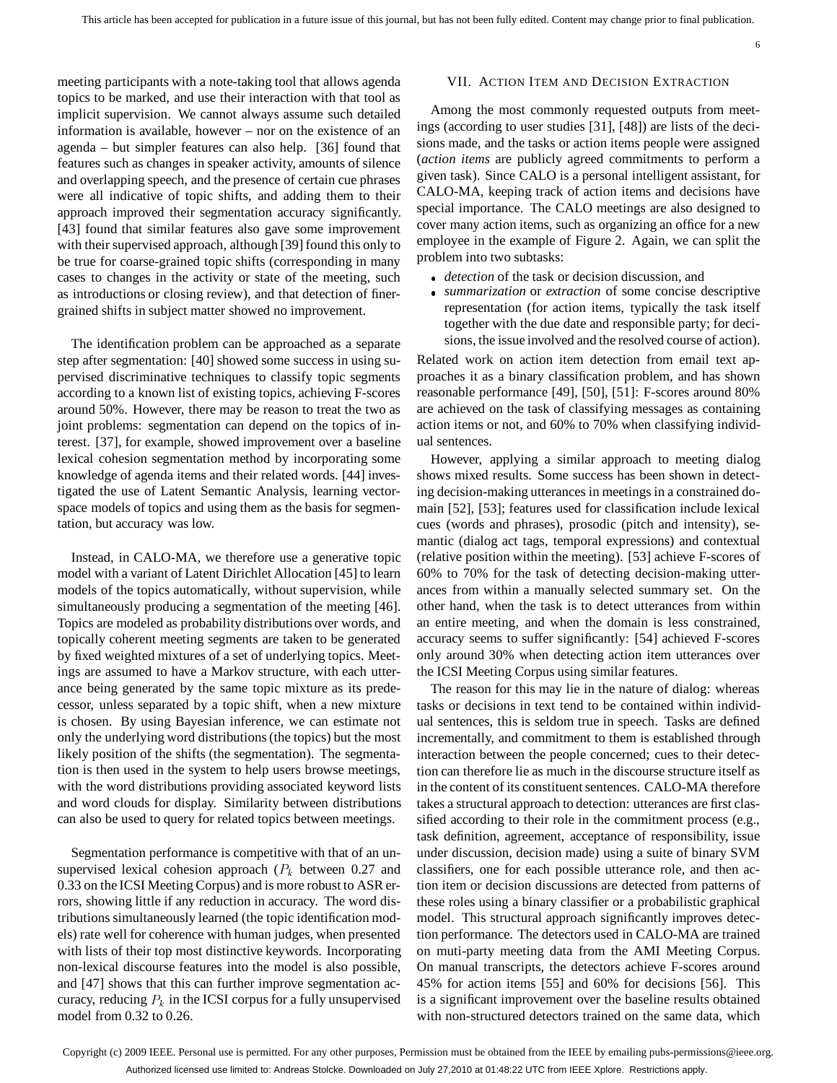meeting participants with a note-taking tool that allows agenda topics to be marked, and use their interaction with that tool as implicit supervision. We cannot always assume such detailed information is available, however – nor on the existence of an agenda – but simpler features can also help. [36] found that features such as changes in speaker activity, amounts of silence and overlapping speech, and the presence of certain cue phrases were all indicative of topic shifts, and adding them to their approach improved their segmentation accuracy significantly. [43] found that similar features also gave some improvement with their supervised approach, although [39] found this only to be true for coarse-grained topic shifts (corresponding in many cases to changes in the activity or state of the meeting, such as introductions or closing review), and that detection of finergrained shifts in subject matter showed no improvement.

The identification problem can be approached as a separate step after segmentation: [40] showed some success in using supervised discriminative techniques to classify topic segments according to a known list of existing topics, achieving F-scores around 50%. However, there may be reason to treat the two as joint problems: segmentation can depend on the topics of interest. [37], for example, showed improvement over a baseline lexical cohesion segmentation method by incorporating some knowledge of agenda items and their related words. [44] investigated the use of Latent Semantic Analysis, learning vectorspace models of topics and using them as the basis for segmentation, but accuracy was low.

Instead, in CALO-MA, we therefore use a generative topic model with a variant of Latent Dirichlet Allocation [45] to learn models of the topics automatically, without supervision, while simultaneously producing a segmentation of the meeting [46]. Topics are modeled as probability distributions over words, and topically coherent meeting segments are taken to be generated by fixed weighted mixtures of a set of underlying topics. Meetings are assumed to have a Markov structure, with each utterance being generated by the same topic mixture as its predecessor, unless separated by a topic shift, when a new mixture is chosen. By using Bayesian inference, we can estimate not only the underlying word distributions (the topics) but the most likely position of the shifts (the segmentation). The segmentation is then used in the system to help users browse meetings, with the word distributions providing associated keyword lists and word clouds for display. Similarity between distributions can also be used to query for related topics between meetings.

Segmentation performance is competitive with that of an unsupervised lexical cohesion approach ( $P_k$  between 0.27 and 0.33 on the ICSI Meeting Corpus) and is more robust to ASR errors, showing little if any reduction in accuracy. The word distributions simultaneously learned (the topic identification models) rate well for coherence with human judges, when presented with lists of their top most distinctive keywords. Incorporating non-lexical discourse features into the model is also possible, and [47] shows that this can further improve segmentation accuracy, reducing  $P_k$  in the ICSI corpus for a fully unsupervised model from 0.32 to 0.26.

## VII. ACTION ITEM AND DECISION EXTRACTION

Among the most commonly requested outputs from meetings (according to user studies [31], [48]) are lists of the decisions made, and the tasks or action items people were assigned (*action items* are publicly agreed commitments to perform a given task). Since CALO is a personal intelligent assistant, for CALO-MA, keeping track of action items and decisions have special importance. The CALO meetings are also designed to cover many action items, such as organizing an office for a new employee in the example of Figure 2. Again, we can split the problem into two subtasks:

- *detection* of the task or decision discussion, and
- *summarization* or *extraction* of some concise descriptive representation (for action items, typically the task itself together with the due date and responsible party; for decisions, the issue involved and the resolved course of action).

Related work on action item detection from email text approaches it as a binary classification problem, and has shown reasonable performance [49], [50], [51]: F-scores around 80% are achieved on the task of classifying messages as containing action items or not, and 60% to 70% when classifying individual sentences.

However, applying a similar approach to meeting dialog shows mixed results. Some success has been shown in detecting decision-making utterances in meetings in a constrained domain [52], [53]; features used for classification include lexical cues (words and phrases), prosodic (pitch and intensity), semantic (dialog act tags, temporal expressions) and contextual (relative position within the meeting). [53] achieve F-scores of 60% to 70% for the task of detecting decision-making utterances from within a manually selected summary set. On the other hand, when the task is to detect utterances from within an entire meeting, and when the domain is less constrained, accuracy seems to suffer significantly: [54] achieved F-scores only around 30% when detecting action item utterances over the ICSI Meeting Corpus using similar features.

The reason for this may lie in the nature of dialog: whereas tasks or decisions in text tend to be contained within individual sentences, this is seldom true in speech. Tasks are defined incrementally, and commitment to them is established through interaction between the people concerned; cues to their detection can therefore lie as much in the discourse structure itself as in the content of its constituent sentences. CALO-MA therefore takes a structural approach to detection: utterances are first classified according to their role in the commitment process (e.g., task definition, agreement, acceptance of responsibility, issue under discussion, decision made) using a suite of binary SVM classifiers, one for each possible utterance role, and then action item or decision discussions are detected from patterns of these roles using a binary classifier or a probabilistic graphical model. This structural approach significantly improves detection performance. The detectors used in CALO-MA are trained on muti-party meeting data from the AMI Meeting Corpus. On manual transcripts, the detectors achieve F-scores around 45% for action items [55] and 60% for decisions [56]. This is a significant improvement over the baseline results obtained with non-structured detectors trained on the same data, which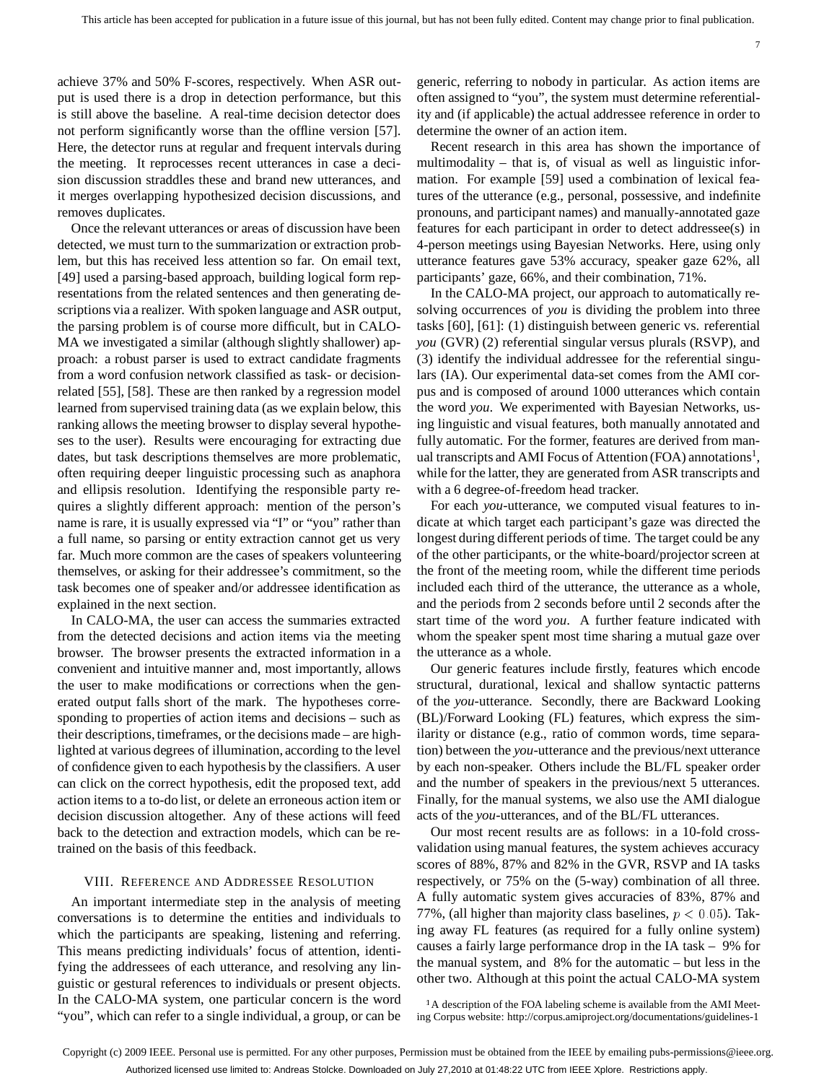achieve 37% and 50% F-scores, respectively. When ASR output is used there is a drop in detection performance, but this is still above the baseline. A real-time decision detector does not perform significantly worse than the offline version [57]. Here, the detector runs at regular and frequent intervals during the meeting. It reprocesses recent utterances in case a decision discussion straddles these and brand new utterances, and it merges overlapping hypothesized decision discussions, and removes duplicates.

Once the relevant utterances or areas of discussion have been detected, we must turn to the summarization or extraction problem, but this has received less attention so far. On email text, [49] used a parsing-based approach, building logical form representations from the related sentences and then generating descriptions via a realizer. With spoken language and ASR output, the parsing problem is of course more difficult, but in CALO-MA we investigated a similar (although slightly shallower) approach: a robust parser is used to extract candidate fragments from a word confusion network classified as task- or decisionrelated [55], [58]. These are then ranked by a regression model learned from supervised training data (as we explain below, this ranking allows the meeting browser to display several hypotheses to the user). Results were encouraging for extracting due dates, but task descriptions themselves are more problematic, often requiring deeper linguistic processing such as anaphora and ellipsis resolution. Identifying the responsible party requires a slightly different approach: mention of the person's name is rare, it is usually expressed via "I" or "you" rather than a full name, so parsing or entity extraction cannot get us very far. Much more common are the cases of speakers volunteering themselves, or asking for their addressee's commitment, so the task becomes one of speaker and/or addressee identification as explained in the next section.

In CALO-MA, the user can access the summaries extracted from the detected decisions and action items via the meeting browser. The browser presents the extracted information in a convenient and intuitive manner and, most importantly, allows the user to make modifications or corrections when the generated output falls short of the mark. The hypotheses corresponding to properties of action items and decisions – such as their descriptions, timeframes, or the decisions made – are highlighted at various degrees of illumination, according to the level of confidence given to each hypothesis by the classifiers. A user can click on the correct hypothesis, edit the proposed text, add action items to a to-do list, or delete an erroneous action item or decision discussion altogether. Any of these actions will feed back to the detection and extraction models, which can be retrained on the basis of this feedback.

## VIII. REFERENCE AND ADDRESSEE RESOLUTION

An important intermediate step in the analysis of meeting conversations is to determine the entities and individuals to which the participants are speaking, listening and referring. This means predicting individuals' focus of attention, identifying the addressees of each utterance, and resolving any linguistic or gestural references to individuals or present objects. In the CALO-MA system, one particular concern is the word "you", which can refer to a single individual, a group, or can be

generic, referring to nobody in particular. As action items are often assigned to "you", the system must determine referentiality and (if applicable) the actual addressee reference in order to determine the owner of an action item.

Recent research in this area has shown the importance of multimodality – that is, of visual as well as linguistic information. For example [59] used a combination of lexical features of the utterance (e.g., personal, possessive, and indefinite pronouns, and participant names) and manually-annotated gaze features for each participant in order to detect addressee(s) in 4-person meetings using Bayesian Networks. Here, using only utterance features gave 53% accuracy, speaker gaze 62%, all participants' gaze, 66%, and their combination, 71%.

In the CALO-MA project, our approach to automatically resolving occurrences of *you* is dividing the problem into three tasks [60], [61]: (1) distinguish between generic vs. referential *you* (GVR) (2) referential singular versus plurals (RSVP), and (3) identify the individual addressee for the referential singulars (IA). Our experimental data-set comes from the AMI corpus and is composed of around 1000 utterances which contain the word *you*. We experimented with Bayesian Networks, using linguistic and visual features, both manually annotated and fully automatic. For the former, features are derived from manual transcripts and AMI Focus of Attention (FOA) annotations<sup>1</sup>, while for the latter, they are generated from ASR transcripts and with a 6 degree-of-freedom head tracker.

For each *you*-utterance, we computed visual features to indicate at which target each participant's gaze was directed the longest during different periods of time. The target could be any of the other participants, or the white-board/projector screen at the front of the meeting room, while the different time periods included each third of the utterance, the utterance as a whole, and the periods from 2 seconds before until 2 seconds after the start time of the word *you*. A further feature indicated with whom the speaker spent most time sharing a mutual gaze over the utterance as a whole.

Our generic features include firstly, features which encode structural, durational, lexical and shallow syntactic patterns of the *you*-utterance. Secondly, there are Backward Looking (BL)/Forward Looking (FL) features, which express the similarity or distance (e.g., ratio of common words, time separation) between the *you*-utterance and the previous/next utterance by each non-speaker. Others include the BL/FL speaker order and the number of speakers in the previous/next 5 utterances. Finally, for the manual systems, we also use the AMI dialogue acts of the *you*-utterances, and of the BL/FL utterances.

Our most recent results are as follows: in a 10-fold crossvalidation using manual features, the system achieves accuracy scores of 88%, 87% and 82% in the GVR, RSVP and IA tasks respectively, or 75% on the (5-way) combination of all three. A fully automatic system gives accuracies of 83%, 87% and 77%, (all higher than majority class baselines,  $p < 0.05$ ). Taking away FL features (as required for a fully online system) causes a fairly large performance drop in the IA task – 9% for the manual system, and 8% for the automatic – but less in the other two. Although at this point the actual CALO-MA system

 $1A$  description of the FOA labeling scheme is available from the AMI Meeting Corpus website: http://corpus.amiproject.org/documentations/guidelines-1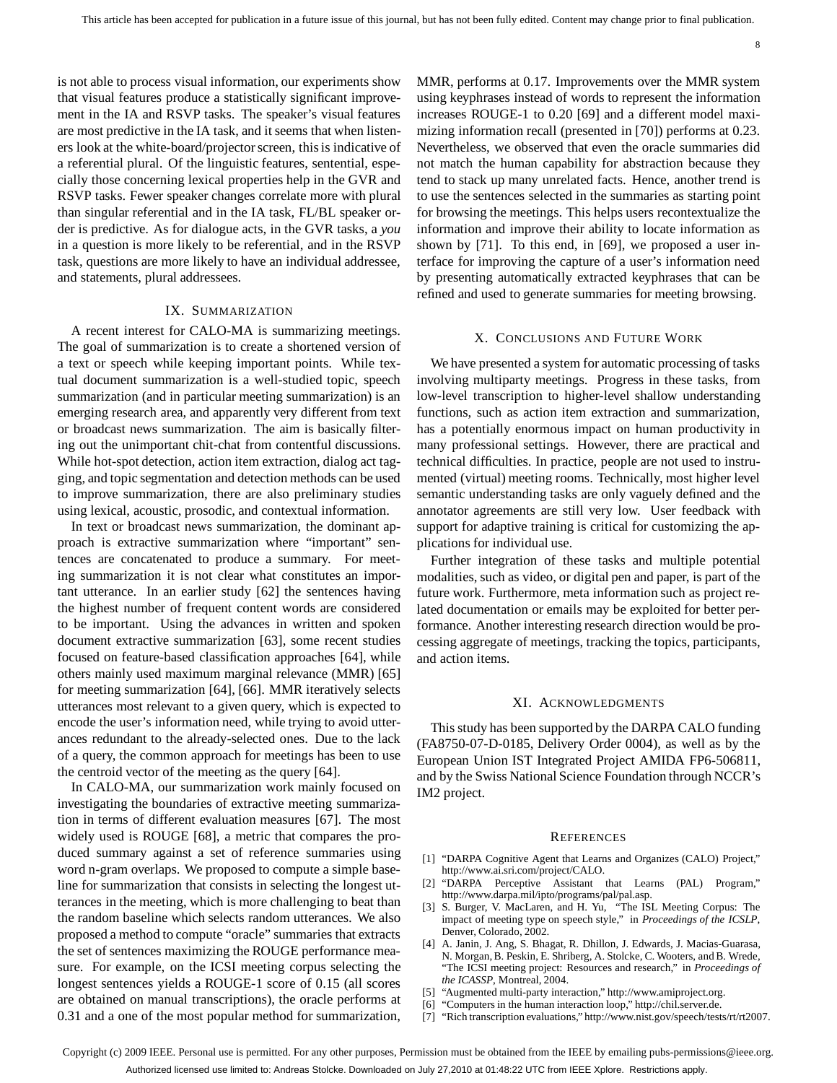is not able to process visual information, our experiments show that visual features produce a statistically significant improvement in the IA and RSVP tasks. The speaker's visual features are most predictive in the IA task, and it seems that when listeners look at the white-board/projector screen, this is indicative of a referential plural. Of the linguistic features, sentential, especially those concerning lexical properties help in the GVR and RSVP tasks. Fewer speaker changes correlate more with plural than singular referential and in the IA task, FL/BL speaker order is predictive. As for dialogue acts, in the GVR tasks, a *you* in a question is more likely to be referential, and in the RSVP task, questions are more likely to have an individual addressee, and statements, plural addressees.

# IX. SUMMARIZATION

A recent interest for CALO-MA is summarizing meetings. The goal of summarization is to create a shortened version of a text or speech while keeping important points. While textual document summarization is a well-studied topic, speech summarization (and in particular meeting summarization) is an emerging research area, and apparently very different from text or broadcast news summarization. The aim is basically filtering out the unimportant chit-chat from contentful discussions. While hot-spot detection, action item extraction, dialog act tagging, and topic segmentation and detection methods can be used to improve summarization, there are also preliminary studies using lexical, acoustic, prosodic, and contextual information.

In text or broadcast news summarization, the dominant approach is extractive summarization where "important" sentences are concatenated to produce a summary. For meeting summarization it is not clear what constitutes an important utterance. In an earlier study [62] the sentences having the highest number of frequent content words are considered to be important. Using the advances in written and spoken document extractive summarization [63], some recent studies focused on feature-based classification approaches [64], while others mainly used maximum marginal relevance (MMR) [65] for meeting summarization [64], [66]. MMR iteratively selects utterances most relevant to a given query, which is expected to encode the user's information need, while trying to avoid utterances redundant to the already-selected ones. Due to the lack of a query, the common approach for meetings has been to use the centroid vector of the meeting as the query [64].

In CALO-MA, our summarization work mainly focused on investigating the boundaries of extractive meeting summarization in terms of different evaluation measures [67]. The most widely used is ROUGE [68], a metric that compares the produced summary against a set of reference summaries using word n-gram overlaps. We proposed to compute a simple baseline for summarization that consists in selecting the longest utterances in the meeting, which is more challenging to beat than the random baseline which selects random utterances. We also proposed a method to compute "oracle" summaries that extracts the set of sentences maximizing the ROUGE performance measure. For example, on the ICSI meeting corpus selecting the longest sentences yields a ROUGE-1 score of 0.15 (all scores are obtained on manual transcriptions), the oracle performs at 0.31 and a one of the most popular method for summarization,

MMR, performs at 0.17. Improvements over the MMR system using keyphrases instead of words to represent the information increases ROUGE-1 to 0.20 [69] and a different model maximizing information recall (presented in [70]) performs at 0.23. Nevertheless, we observed that even the oracle summaries did not match the human capability for abstraction because they tend to stack up many unrelated facts. Hence, another trend is to use the sentences selected in the summaries as starting point for browsing the meetings. This helps users recontextualize the information and improve their ability to locate information as shown by [71]. To this end, in [69], we proposed a user interface for improving the capture of a user's information need by presenting automatically extracted keyphrases that can be refined and used to generate summaries for meeting browsing.

#### X. CONCLUSIONS AND FUTURE WORK

We have presented a system for automatic processing of tasks involving multiparty meetings. Progress in these tasks, from low-level transcription to higher-level shallow understanding functions, such as action item extraction and summarization, has a potentially enormous impact on human productivity in many professional settings. However, there are practical and technical difficulties. In practice, people are not used to instrumented (virtual) meeting rooms. Technically, most higher level semantic understanding tasks are only vaguely defined and the annotator agreements are still very low. User feedback with support for adaptive training is critical for customizing the applications for individual use.

Further integration of these tasks and multiple potential modalities, such as video, or digital pen and paper, is part of the future work. Furthermore, meta information such as project related documentation or emails may be exploited for better performance. Another interesting research direction would be processing aggregate of meetings, tracking the topics, participants, and action items.

## XI. ACKNOWLEDGMENTS

This study has been supported by the DARPA CALO funding (FA8750-07-D-0185, Delivery Order 0004), as well as by the European Union IST Integrated Project AMIDA FP6-506811, and by the Swiss National Science Foundation through NCCR's IM2 project.

#### **REFERENCES**

- [1] "DARPA Cognitive Agent that Learns and Organizes (CALO) Project," http://www.ai.sri.com/project/CALO.
- [2] "DARPA Perceptive Assistant that Learns (PAL) Program," http://www.darpa.mil/ipto/programs/pal/pal.asp.
- [3] S. Burger, V. MacLaren, and H. Yu, "The ISL Meeting Corpus: The impact of meeting type on speech style," in *Proceedings of the ICSLP*, Denver, Colorado, 2002.
- [4] A. Janin, J. Ang, S. Bhagat, R. Dhillon, J. Edwards, J. Macias-Guarasa, N. Morgan, B. Peskin, E. Shriberg, A. Stolcke, C. Wooters, and B. Wrede, "The ICSI meeting project: Resources and research," in *Proceedings of the ICASSP*, Montreal, 2004.
- [5] "Augmented multi-party interaction," http://www.amiproject.org.
- [6] "Computers in the human interaction loop," http://chil.server.de.
- [7] "Rich transcription evaluations," http://www.nist.gov/speech/tests/rt/rt2007.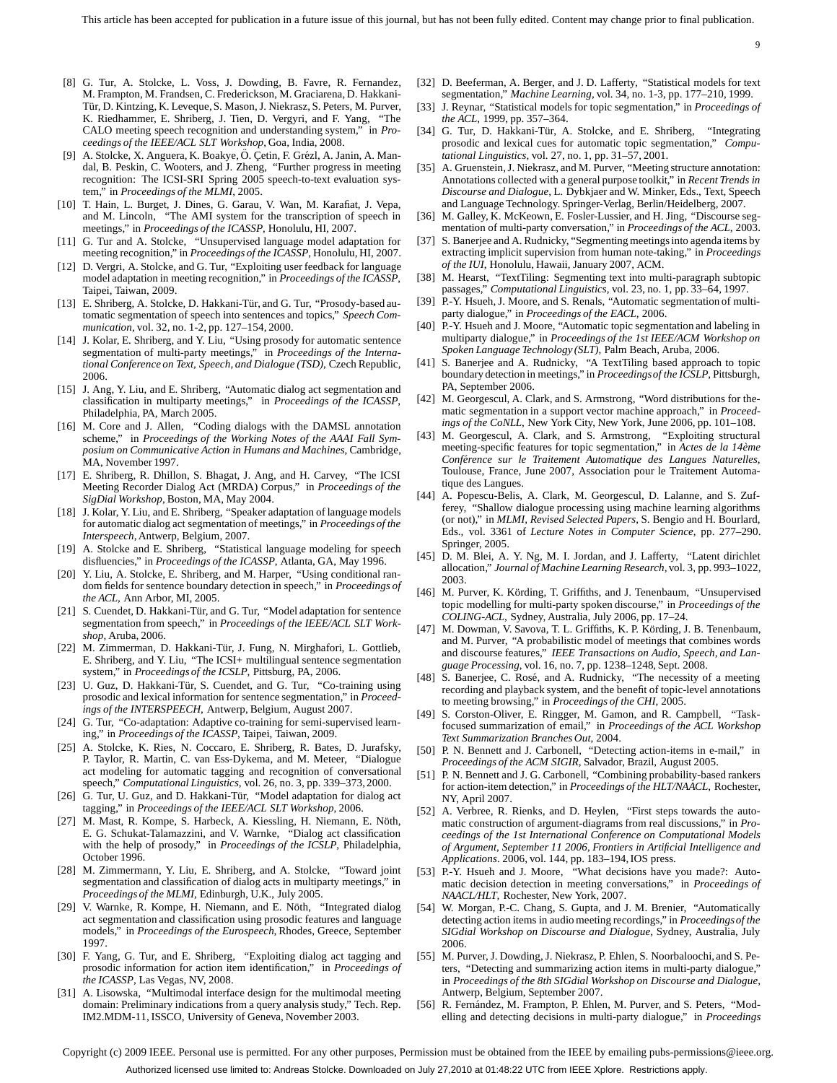$\overline{Q}$ 

- [8] G. Tur, A. Stolcke, L. Voss, J. Dowding, B. Favre, R. Fernandez, M. Frampton, M. Frandsen, C. Frederickson, M. Graciarena, D. Hakkani-Tür, D. Kintzing, K. Leveque, S. Mason, J. Niekrasz, S. Peters, M. Purver, K. Riedhammer, E. Shriberg, J. Tien, D. Vergyri, and F. Yang, "The CALO meeting speech recognition and understanding system," in *Proceedings of the IEEE/ACL SLT Workshop*, Goa, India, 2008.
- [9] A. Stolcke, X. Anguera, K. Boakye, Ö. Çetin, F. Grézl, A. Janin, A. Mandal, B. Peskin, C. Wooters, and J. Zheng, "Further progress in meeting recognition: The ICSI-SRI Spring 2005 speech-to-text evaluation system," in *Proceedings of the MLMI*, 2005.
- [10] T. Hain, L. Burget, J. Dines, G. Garau, V. Wan, M. Karafiat, J. Vepa, and M. Lincoln, "The AMI system for the transcription of speech in meetings," in *Proceedings of the ICASSP*, Honolulu, HI, 2007.
- [11] G. Tur and A. Stolcke, "Unsupervised language model adaptation for meeting recognition," in *Proceedings of the ICASSP*, Honolulu, HI, 2007.
- [12] D. Vergri, A. Stolcke, and G. Tur, "Exploiting user feedback for language model adaptation in meeting recognition," in *Proceedings of the ICASSP*, Taipei, Taiwan, 2009.
- [13] E. Shriberg, A. Stolcke, D. Hakkani-Tür, and G. Tur, "Prosody-based automatic segmentation of speech into sentences and topics," *Speech Communication*, vol. 32, no. 1-2, pp. 127–154, 2000.
- [14] J. Kolar, E. Shriberg, and Y. Liu, "Using prosody for automatic sentence segmentation of multi-party meetings," in *Proceedings of the International Conference on Text, Speech, and Dialogue (TSD)*, Czech Republic, 2006.
- [15] J. Ang, Y. Liu, and E. Shriberg, "Automatic dialog act segmentation and classification in multiparty meetings," in *Proceedings of the ICASSP*, Philadelphia, PA, March 2005.
- [16] M. Core and J. Allen, "Coding dialogs with the DAMSL annotation scheme," in *Proceedings of the Working Notes of the AAAI Fall Symposium on Communicative Action in Humans and Machines*, Cambridge, MA, November 1997.
- [17] E. Shriberg, R. Dhillon, S. Bhagat, J. Ang, and H. Carvey, "The ICSI Meeting Recorder Dialog Act (MRDA) Corpus," in *Proceedings of the SigDial Workshop*, Boston, MA, May 2004.
- [18] J. Kolar, Y. Liu, and E. Shriberg, "Speaker adaptation of language models for automatic dialog act segmentation of meetings," in *Proceedings of the Interspeech*, Antwerp, Belgium, 2007.
- [19] A. Stolcke and E. Shriberg, "Statistical language modeling for speech disfluencies," in *Proceedings of the ICASSP*, Atlanta, GA, May 1996.
- [20] Y. Liu, A. Stolcke, E. Shriberg, and M. Harper, "Using conditional random fields for sentence boundary detection in speech," in *Proceedings of the ACL*, Ann Arbor, MI, 2005.
- [21] S. Cuendet, D. Hakkani-Tür, and G. Tur, "Model adaptation for sentence segmentation from speech," in *Proceedings of the IEEE/ACL SLT Workshop*, Aruba, 2006.
- [22] M. Zimmerman, D. Hakkani-Tür, J. Fung, N. Mirghafori, L. Gottlieb, E. Shriberg, and Y. Liu, "The ICSI+ multilingual sentence segmentation system," in *Proceedings of the ICSLP*, Pittsburg, PA, 2006.
- [23] U. Guz, D. Hakkani-Tür, S. Cuendet, and G. Tur, "Co-training using prosodic and lexical information for sentence segmentation," in *Proceedings of the INTERSPEECH*, Antwerp, Belgium, August 2007.
- [24] G. Tur, "Co-adaptation: Adaptive co-training for semi-supervised learning," in *Proceedings of the ICASSP*, Taipei, Taiwan, 2009.
- [25] A. Stolcke, K. Ries, N. Coccaro, E. Shriberg, R. Bates, D. Jurafsky, P. Taylor, R. Martin, C. van Ess-Dykema, and M. Meteer, "Dialogue act modeling for automatic tagging and recognition of conversational speech," *Computational Linguistics*, vol. 26, no. 3, pp. 339–373, 2000.
- [26] G. Tur, U. Guz, and D. Hakkani-Tür, "Model adaptation for dialog act tagging," in *Proceedings of the IEEE/ACL SLT Workshop*, 2006.
- [27] M. Mast, R. Kompe, S. Harbeck, A. Kiessling, H. Niemann, E. Nöth, E. G. Schukat-Talamazzini, and V. Warnke, "Dialog act classification with the help of prosody," in *Proceedings of the ICSLP*, Philadelphia, October 1996.
- [28] M. Zimmermann, Y. Liu, E. Shriberg, and A. Stolcke, "Toward joint segmentation and classification of dialog acts in multiparty meetings," in *Proceedings of the MLMI*, Edinburgh, U.K., July 2005.
- [29] V. Warnke, R. Kompe, H. Niemann, and E. Nöth, "Integrated dialog act segmentation and classification using prosodic features and language models," in *Proceedings of the Eurospeech*, Rhodes, Greece, September 1997.
- [30] F. Yang, G. Tur, and E. Shriberg, "Exploiting dialog act tagging and prosodic information for action item identification," in *Proceedings of the ICASSP*, Las Vegas, NV, 2008.
- [31] A. Lisowska, "Multimodal interface design for the multimodal meeting domain: Preliminary indications from a query analysis study," Tech. Rep. IM2.MDM-11, ISSCO, University of Geneva, November 2003.
- [32] D. Beeferman, A. Berger, and J. D. Lafferty, "Statistical models for text segmentation," *Machine Learning*, vol. 34, no. 1-3, pp. 177–210, 1999.
- [33] J. Reynar, "Statistical models for topic segmentation," in *Proceedings of the ACL*, 1999, pp. 357–364.
- [34] G. Tur, D. Hakkani-Tür, A. Stolcke, and E. Shriberg, "Integrating prosodic and lexical cues for automatic topic segmentation," *Computational Linguistics*, vol. 27, no. 1, pp. 31–57, 2001.
- [35] A. Gruenstein, J. Niekrasz, and M. Purver, "Meeting structure annotation: Annotations collected with a general purpose toolkit," in *Recent Trends in Discourse and Dialogue*, L. Dybkjaer and W. Minker, Eds., Text, Speech and Language Technology. Springer-Verlag, Berlin/Heidelberg, 2007.
- [36] M. Galley, K. McKeown, E. Fosler-Lussier, and H. Jing, "Discourse segmentation of multi-party conversation," in *Proceedings of the ACL*, 2003.
- S. Banerjee and A. Rudnicky, "Segmenting meetings into agenda items by extracting implicit supervision from human note-taking," in *Proceedings of the IUI*, Honolulu, Hawaii, January 2007, ACM.
- [38] M. Hearst, "TextTiling: Segmenting text into multi-paragraph subtopic passages," *Computational Linguistics*, vol. 23, no. 1, pp. 33–64, 1997.
- P.-Y. Hsueh, J. Moore, and S. Renals, "Automatic segmentation of multiparty dialogue," in *Proceedings of the EACL*, 2006.
- [40] P.-Y. Hsueh and J. Moore, "Automatic topic segmentation and labeling in multiparty dialogue," in *Proceedings of the 1st IEEE/ACM Workshop on Spoken Language Technology (SLT)*, Palm Beach, Aruba, 2006.
- [41] S. Banerjee and A. Rudnicky, "A TextTiling based approach to topic boundary detection in meetings," in *Proceedingsof the ICSLP*, Pittsburgh, PA, September 2006.
- [42] M. Georgescul, A. Clark, and S. Armstrong, "Word distributions for thematic segmentation in a support vector machine approach," in *Proceedings of the CoNLL*, New York City, New York, June 2006, pp. 101–108.
- [43] M. Georgescul, A. Clark, and S. Armstrong, "Exploiting structural meeting-specific features for topic segmentation," in *Actes de la 14ème Conf´erence sur le Traitement Automatique des Langues Naturelles*, Toulouse, France, June 2007, Association pour le Traitement Automatique des Langues.
- [44] A. Popescu-Belis, A. Clark, M. Georgescul, D. Lalanne, and S. Zufferey, "Shallow dialogue processing using machine learning algorithms (or not)," in *MLMI, Revised Selected Papers*, S. Bengio and H. Bourlard, Eds., vol. 3361 of *Lecture Notes in Computer Science*, pp. 277–290. Springer, 2005.
- [45] D. M. Blei, A. Y. Ng, M. I. Jordan, and J. Lafferty, "Latent dirichlet allocation," *Journal of Machine Learning Research*, vol. 3, pp. 993–1022, 2003.
- [46] M. Purver, K. Körding, T. Griffiths, and J. Tenenbaum, "Unsupervised topic modelling for multi-party spoken discourse," in *Proceedings of the COLING-ACL*, Sydney, Australia, July 2006, pp. 17–24.
- M. Dowman, V. Savova, T. L. Griffiths, K. P. Körding, J. B. Tenenbaum, and M. Purver, "A probabilistic model of meetings that combines words and discourse features," *IEEE Transactions on Audio, Speech, and Language Processing*, vol. 16, no. 7, pp. 1238–1248, Sept. 2008.
- [48] S. Banerjee, C. Rosé, and A. Rudnicky, "The necessity of a meeting recording and playback system, and the benefit of topic-level annotations to meeting browsing," in *Proceedings of the CHI*, 2005.
- [49] S. Corston-Oliver, E. Ringger, M. Gamon, and R. Campbell, "Taskfocused summarization of email," in *Proceedings of the ACL Workshop Text Summarization Branches Out*, 2004.
- P. N. Bennett and J. Carbonell, "Detecting action-items in e-mail," in *Proceedings of the ACM SIGIR*, Salvador, Brazil, August 2005.
- [51] P. N. Bennett and J. G. Carbonell, "Combining probability-based rankers for action-item detection," in *Proceedings of the HLT/NAACL*, Rochester, NY, April 2007.
- [52] A. Verbree, R. Rienks, and D. Heylen, "First steps towards the automatic construction of argument-diagrams from real discussions," in *Proceedings of the 1st International Conference on Computational Models of Argument, September 11 2006, Frontiers in Artificial Intelligence and Applications*. 2006, vol. 144, pp. 183–194, IOS press.
- [53] P.-Y. Hsueh and J. Moore, "What decisions have you made?: Automatic decision detection in meeting conversations," in *Proceedings of NAACL/HLT*, Rochester, New York, 2007.
- W. Morgan, P.-C. Chang, S. Gupta, and J. M. Brenier, "Automatically detecting action items in audio meeting recordings," in *Proceedingsof the SIGdial Workshop on Discourse and Dialogue*, Sydney, Australia, July 2006.
- [55] M. Purver, J. Dowding, J. Niekrasz, P. Ehlen, S. Noorbaloochi, and S. Peters, "Detecting and summarizing action items in multi-party dialogue," in *Proceedings of the 8th SIGdial Workshop on Discourse and Dialogue*, Antwerp, Belgium, September 2007.
- [56] R. Fernández, M. Frampton, P. Ehlen, M. Purver, and S. Peters, "Modelling and detecting decisions in multi-party dialogue," in *Proceedings*

Copyright (c) 2009 IEEE. Personal use is permitted. For any other purposes, Permission must be obtained from the IEEE by emailing pubs-permissions@ieee.org.

Authorized licensed use limited to: Andreas Stolcke. Downloaded on July 27,2010 at 01:48:22 UTC from IEEE Xplore. Restrictions apply.